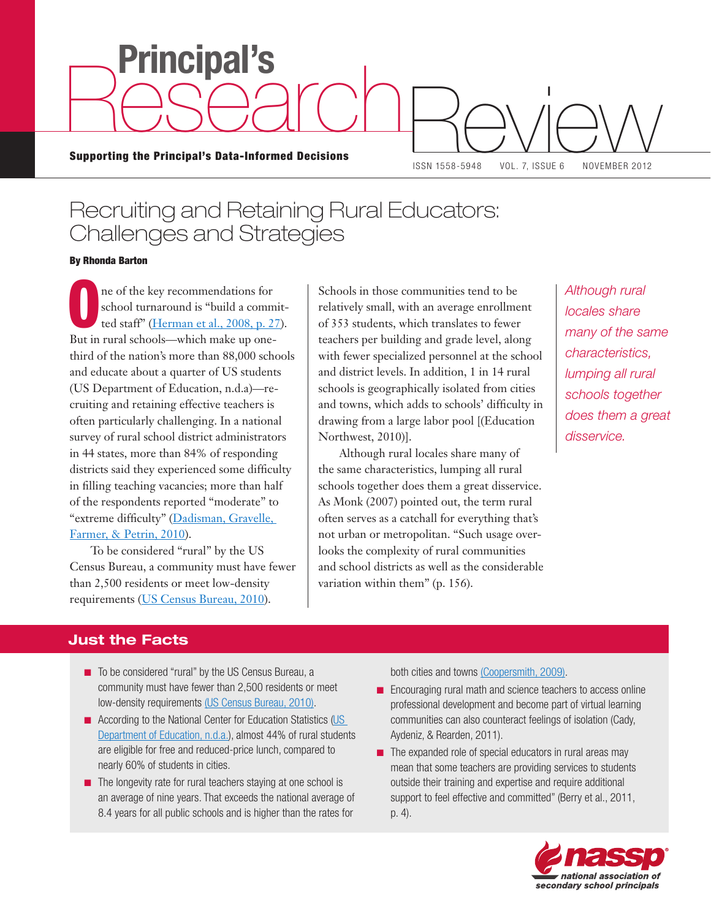Supporting the Principal's Data-Informed Decisions Review 1558-5948 VOL. 7. ISSUE 6 NOVEMBER 2012

**Principal's**

Research

ISSN 1558-5948 VOL. 7, ISSUE 6 NOVEMBER 2012

# Recruiting and Retaining Rural Educators: Challenges and Strategies

#### By Rhonda Barton

The of the key recommendations for<br>school turnaround is "build a commendation"<br>ted staff" (Herman et al., 2008, p. 2 school turnaround is "build a committed staff" [\(Herman et al., 2008, p. 27\)](http://ies.ed.gov/ncee/wwc/pdf/practice_guides/Turnaround_pg_04181.pdf). But in rural schools—which make up onethird of the nation's more than 88,000 schools and educate about a quarter of US students (US Department of Education, n.d.a)—recruiting and retaining effective teachers is often particularly challenging. In a national survey of rural school district administrators in 44 states, more than 84% of responding districts said they experienced some difficulty in filling teaching vacancies; more than half of the respondents reported "moderate" to "extreme difficulty" ([Dadisman, Gravelle,](http://www.nrcres.org/NRCRES%20GYO%20Issue%20Brief.pdf)  [Farmer, & Petrin, 2010](http://www.nrcres.org/NRCRES%20GYO%20Issue%20Brief.pdf)).

To be considered "rural" by the US Census Bureau, a community must have fewer than 2,500 residents or meet low-density requirements ([US Census Bureau, 2010\)](http://www.census.gov/geo/www/ua/2010urbanruralclass.html).

Schools in those communities tend to be relatively small, with an average enrollment of 353 students, which translates to fewer teachers per building and grade level, along with fewer specialized personnel at the school and district levels. In addition, 1 in 14 rural schools is geographically isolated from cities and towns, which adds to schools' difficulty in drawing from a large labor pool [(Education Northwest, 2010)].

Although rural locales share many of the same characteristics, lumping all rural schools together does them a great disservice. As Monk (2007) pointed out, the term rural often serves as a catchall for everything that's not urban or metropolitan. "Such usage overlooks the complexity of rural communities and school districts as well as the considerable variation within them" (p. 156).

*Although rural locales share many of the same characteristics, lumping all rural schools together does them a great disservice.*

# **Just the Facts**

- To be considered "rural" by the US Census Bureau, a community must have fewer than 2,500 residents or meet low-density requirements [\(US Census Bureau, 2010](http://www.census.gov/geo/www/ua/2010urbanruralclass.html)).
- According to the National Center for Education Statistics [\(US](http://nces.ed.gov) [Department of Education, n.d.a.\)](http://nces.ed.gov), almost 44% of rural students are eligible for free and reduced-price lunch, compared to nearly 60% of students in cities.
- $\blacksquare$  The longevity rate for rural teachers staying at one school is an average of nine years. That exceeds the national average of 8.4 years for all public schools and is higher than the rates for

both cities and towns [\(Coopersmith, 2009\).](http://nces.ed.gov/pubs2009/2009324.pdf)

- Encouraging rural math and science teachers to access online professional development and become part of virtual learning communities can also counteract feelings of isolation (Cady, Aydeniz, & Rearden, 2011).
- $\blacksquare$  The expanded role of special educators in rural areas may mean that some teachers are providing services to students outside their training and expertise and require additional support to feel effective and committed" (Berry et al., 2011, p. 4).

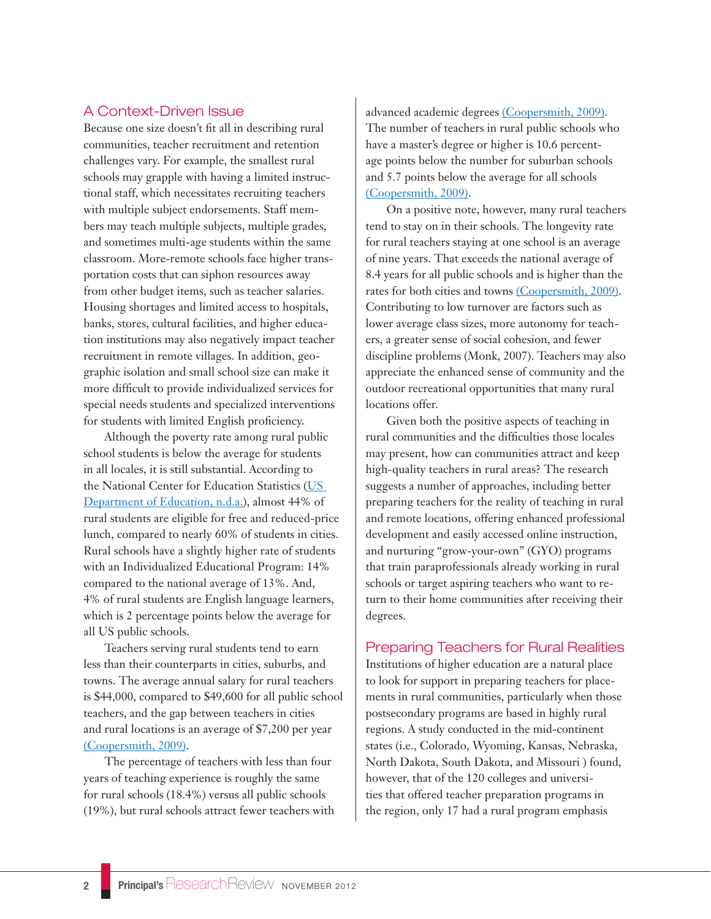## A Context-Driven Issue

Because one size doesn't fit all in describing rural communities, teacher recruitment and retention challenges vary. For example, the smallest rural schools may grapple with having a limited instructional staff, which necessitates recruiting teachers with multiple subject endorsements. Staff members may teach multiple subjects, multiple grades, and sometimes multi-age students within the same classroom. More-remote schools face higher transportation costs that can siphon resources away from other budget items, such as teacher salaries. Housing shortages and limited access to hospitals, banks, stores, cultural facilities, and higher education institutions may also negatively impact teacher recruitment in remote villages. In addition, geographic isolation and small school size can make it more difficult to provide individualized services for special needs students and specialized interventions for students with limited English proficiency.

Although the poverty rate among rural public school students is below the average for students in all locales, it is still substantial. According to the National Center for Education Statistics ([US](http://nces.ed.gov)  [Department of Education, n.d.a.](http://nces.ed.gov)), almost 44% of rural students are eligible for free and reduced-price lunch, compared to nearly 60% of students in cities. Rural schools have a slightly higher rate of students with an Individualized Educational Program: 14% compared to the national average of 13%. And, 4% of rural students are English language learners, which is 2 percentage points below the average for all US public schools.

Teachers serving rural students tend to earn less than their counterparts in cities, suburbs, and towns. The average annual salary for rural teachers is \$44,000, compared to \$49,600 for all public school teachers, and the gap between teachers in cities and rural locations is an average of \$7,200 per year [\(Coopersmith, 2009\)](http://nces.ed.gov/pubs2009/2009324.pdf).

The percentage of teachers with less than four years of teaching experience is roughly the same for rural schools (18.4%) versus all public schools (19%), but rural schools attract fewer teachers with advanced academic degrees [\(Coopersmith, 2009\).](http://nces.ed.gov/pubs2009/2009324.pdf) The number of teachers in rural public schools who have a master's degree or higher is 10.6 percentage points below the number for suburban schools and 5.7 points below the average for all schools [\(Coopersmith, 2009\)](http://nces.ed.gov/pubs2009/2009324.pdf).

On a positive note, however, many rural teachers tend to stay on in their schools. The longevity rate for rural teachers staying at one school is an average of nine years. That exceeds the national average of 8.4 years for all public schools and is higher than the rates for both cities and towns [\(Coopersmith, 2009\).](http://nces.ed.gov/pubs2009/2009324.pdf) Contributing to low turnover are factors such as lower average class sizes, more autonomy for teachers, a greater sense of social cohesion, and fewer discipline problems (Monk, 2007). Teachers may also appreciate the enhanced sense of community and the outdoor recreational opportunities that many rural locations offer.

Given both the positive aspects of teaching in rural communities and the difficulties those locales may present, how can communities attract and keep high-quality teachers in rural areas? The research suggests a number of approaches, including better preparing teachers for the reality of teaching in rural and remote locations, offering enhanced professional development and easily accessed online instruction, and nurturing "grow-your-own" (GYO) programs that train paraprofessionals already working in rural schools or target aspiring teachers who want to return to their home communities after receiving their degrees.

### Preparing Teachers for Rural Realities

Institutions of higher education are a natural place to look for support in preparing teachers for placements in rural communities, particularly when those postsecondary programs are based in highly rural regions. A study conducted in the mid-continent states (i.e., Colorado, Wyoming, Kansas, Nebraska, North Dakota, South Dakota, and Missouri ) found, however, that of the 120 colleges and universities that offered teacher preparation programs in the region, only 17 had a rural program emphasis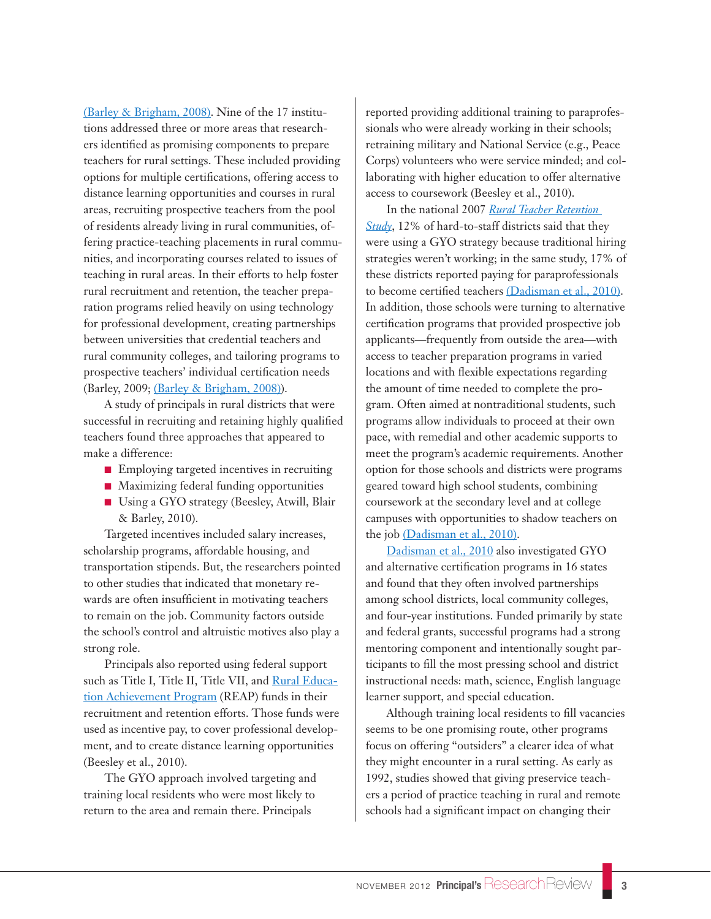[\(Barley & Brigham, 2008\)](http://ies.ed.gov/ncee/edlabs/regions/central/pdf/REL_2008045_sum.pdf). Nine of the 17 institutions addressed three or more areas that researchers identified as promising components to prepare teachers for rural settings. These included providing options for multiple certifications, offering access to distance learning opportunities and courses in rural areas, recruiting prospective teachers from the pool of residents already living in rural communities, offering practice-teaching placements in rural communities, and incorporating courses related to issues of teaching in rural areas. In their efforts to help foster rural recruitment and retention, the teacher preparation programs relied heavily on using technology for professional development, creating partnerships between universities that credential teachers and rural community colleges, and tailoring programs to prospective teachers' individual certification needs (Barley, 2009; [\(Barley & Brigham, 2008\)\)](http://ies.ed.gov/ncee/edlabs/regions/central/pdf/REL_2008045_sum.pdf).

A study of principals in rural districts that were successful in recruiting and retaining highly qualified teachers found three approaches that appeared to make a difference:

- Employing targeted incentives in recruiting
- Maximizing federal funding opportunities
- Using a GYO strategy (Beesley, Atwill, Blair & Barley, 2010).

Targeted incentives included salary increases, scholarship programs, affordable housing, and transportation stipends. But, the researchers pointed to other studies that indicated that monetary rewards are often insufficient in motivating teachers to remain on the job. Community factors outside the school's control and altruistic motives also play a strong role.

Principals also reported using federal support such as Title I, Title II, Title VII, and **Rural Educa**[tion Achievement Program](http://www2.ed.gov/nclb/freedom/local/reap.html) (REAP) funds in their recruitment and retention efforts. Those funds were used as incentive pay, to cover professional development, and to create distance learning opportunities (Beesley et al., 2010).

The GYO approach involved targeting and training local residents who were most likely to return to the area and remain there. Principals

reported providing additional training to paraprofessionals who were already working in their schools; retraining military and National Service (e.g., Peace Corps) volunteers who were service minded; and collaborating with higher education to offer alternative access to coursework (Beesley et al., 2010).

In the national 2007 *[Rural Teacher Retention](http://www.nrcres.org)  [Study](http://www.nrcres.org)*, 12% of hard-to-staff districts said that they were using a GYO strategy because traditional hiring strategies weren't working; in the same study, 17% of these districts reported paying for paraprofessionals to become certified teachers [\(Dadisman et al., 2010\)](http://www.nrcres.org/NRCRES%20GYO%20Issue%20Brief.pdf). In addition, those schools were turning to alternative certification programs that provided prospective job applicants—frequently from outside the area—with access to teacher preparation programs in varied locations and with flexible expectations regarding the amount of time needed to complete the program. Often aimed at nontraditional students, such programs allow individuals to proceed at their own pace, with remedial and other academic supports to meet the program's academic requirements. Another option for those schools and districts were programs geared toward high school students, combining coursework at the secondary level and at college campuses with opportunities to shadow teachers on the job [\(Dadisman et al., 2010\)](http://www.nrcres.org/NRCRES%20GYO%20Issue%20Brief.pdf).

[Dadisman et al., 2010](http://www.nrcres.org/NRCRES%20GYO%20Issue%20Brief.pdf) also investigated GYO and alternative certification programs in 16 states and found that they often involved partnerships among school districts, local community colleges, and four-year institutions. Funded primarily by state and federal grants, successful programs had a strong mentoring component and intentionally sought participants to fill the most pressing school and district instructional needs: math, science, English language learner support, and special education.

Although training local residents to fill vacancies seems to be one promising route, other programs focus on offering "outsiders" a clearer idea of what they might encounter in a rural setting. As early as 1992, studies showed that giving preservice teachers a period of practice teaching in rural and remote schools had a significant impact on changing their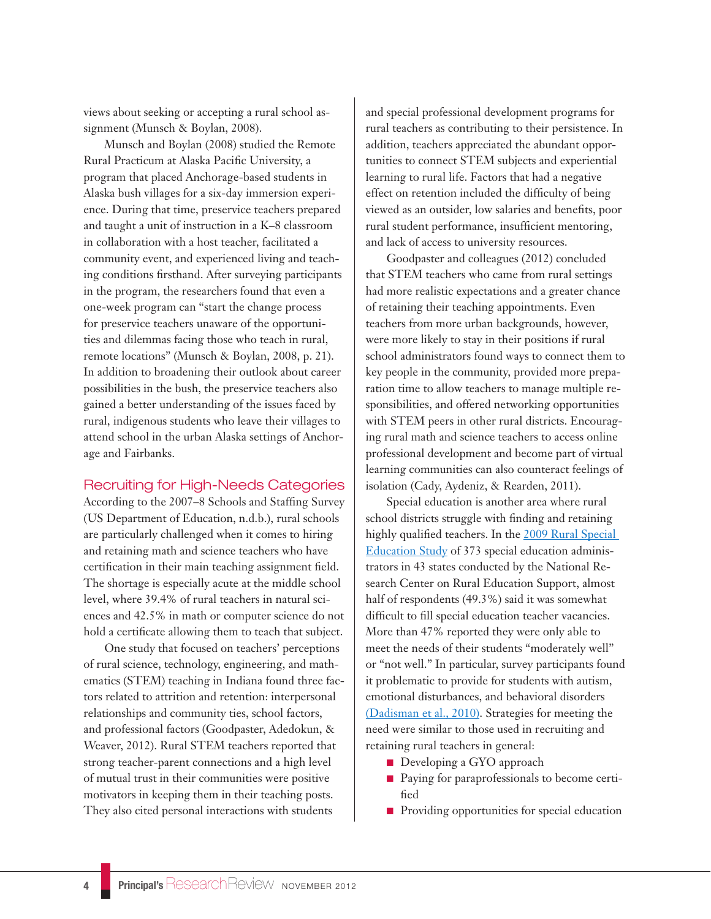views about seeking or accepting a rural school assignment (Munsch & Boylan, 2008).

Munsch and Boylan (2008) studied the Remote Rural Practicum at Alaska Pacific University, a program that placed Anchorage-based students in Alaska bush villages for a six-day immersion experience. During that time, preservice teachers prepared and taught a unit of instruction in a K–8 classroom in collaboration with a host teacher, facilitated a community event, and experienced living and teaching conditions firsthand. After surveying participants in the program, the researchers found that even a one-week program can "start the change process for preservice teachers unaware of the opportunities and dilemmas facing those who teach in rural, remote locations" (Munsch & Boylan, 2008, p. 21). In addition to broadening their outlook about career possibilities in the bush, the preservice teachers also gained a better understanding of the issues faced by rural, indigenous students who leave their villages to attend school in the urban Alaska settings of Anchorage and Fairbanks.

#### Recruiting for High-Needs Categories

According to the 2007–8 Schools and Staffing Survey (US Department of Education, n.d.b.), rural schools are particularly challenged when it comes to hiring and retaining math and science teachers who have certification in their main teaching assignment field. The shortage is especially acute at the middle school level, where 39.4% of rural teachers in natural sciences and 42.5% in math or computer science do not hold a certificate allowing them to teach that subject.

One study that focused on teachers' perceptions of rural science, technology, engineering, and mathematics (STEM) teaching in Indiana found three factors related to attrition and retention: interpersonal relationships and community ties, school factors, and professional factors (Goodpaster, Adedokun, & Weaver, 2012). Rural STEM teachers reported that strong teacher-parent connections and a high level of mutual trust in their communities were positive motivators in keeping them in their teaching posts. They also cited personal interactions with students

and special professional development programs for rural teachers as contributing to their persistence. In addition, teachers appreciated the abundant opportunities to connect STEM subjects and experiential learning to rural life. Factors that had a negative effect on retention included the difficulty of being viewed as an outsider, low salaries and benefits, poor rural student performance, insufficient mentoring, and lack of access to university resources.

Goodpaster and colleagues (2012) concluded that STEM teachers who came from rural settings had more realistic expectations and a greater chance of retaining their teaching appointments. Even teachers from more urban backgrounds, however, were more likely to stay in their positions if rural school administrators found ways to connect them to key people in the community, provided more preparation time to allow teachers to manage multiple responsibilities, and offered networking opportunities with STEM peers in other rural districts. Encouraging rural math and science teachers to access online professional development and become part of virtual learning communities can also counteract feelings of isolation (Cady, Aydeniz, & Rearden, 2011).

Special education is another area where rural school districts struggle with finding and retaining highly qualified teachers. In the 2009 Rural Special [Education Study](http://www.nrcres.org) of 373 special education administrators in 43 states conducted by the National Research Center on Rural Education Support, almost half of respondents (49.3%) said it was somewhat difficult to fill special education teacher vacancies. More than 47% reported they were only able to meet the needs of their students "moderately well" or "not well." In particular, survey participants found it problematic to provide for students with autism, emotional disturbances, and behavioral disorders [\(Dadisman et al., 2010\)](http://www.nrcres.org/NRCRES%20GYO%20Issue%20Brief.pdf). Strategies for meeting the need were similar to those used in recruiting and retaining rural teachers in general:

- Developing a GYO approach
- Paying for paraprofessionals to become certified
- Providing opportunities for special education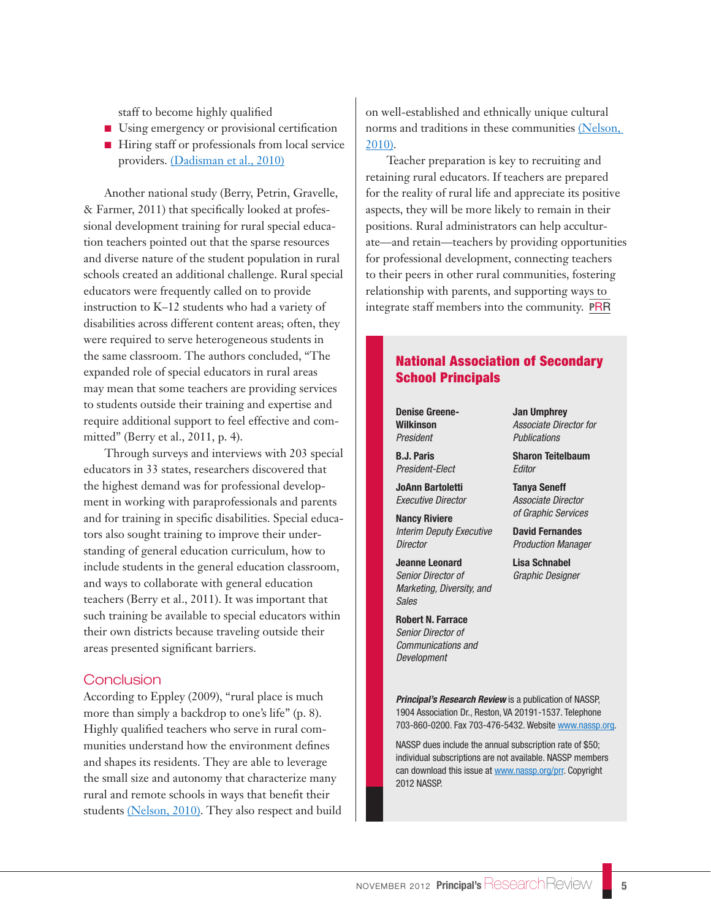staff to become highly qualified

- Using emergency or provisional certification
- Hiring staff or professionals from local service providers. [\(Dadisman et al., 2010\)](http://www.nrcres.org/NRCRES%20GYO%20Issue%20Brief.pdf)

Another national study (Berry, Petrin, Gravelle, & Farmer, 2011) that specifically looked at professional development training for rural special education teachers pointed out that the sparse resources and diverse nature of the student population in rural schools created an additional challenge. Rural special educators were frequently called on to provide instruction to K–12 students who had a variety of disabilities across different content areas; often, they were required to serve heterogeneous students in the same classroom. The authors concluded, "The expanded role of special educators in rural areas may mean that some teachers are providing services to students outside their training and expertise and require additional support to feel effective and committed" (Berry et al., 2011, p. 4).

Through surveys and interviews with 203 special educators in 33 states, researchers discovered that the highest demand was for professional development in working with paraprofessionals and parents and for training in specific disabilities. Special educators also sought training to improve their understanding of general education curriculum, how to include students in the general education classroom, and ways to collaborate with general education teachers (Berry et al., 2011). It was important that such training be available to special educators within their own districts because traveling outside their areas presented significant barriers.

### **Conclusion**

According to Eppley (2009), "rural place is much more than simply a backdrop to one's life" (p. 8). Highly qualified teachers who serve in rural communities understand how the environment defines and shapes its residents. They are able to leverage the small size and autonomy that characterize many rural and remote schools in ways that benefit their students [\(Nelson, 2010\).](http://educationnorthwest.org/resource/1349) They also respect and build on well-established and ethnically unique cultural norms and traditions in these communities [\(Nelson,](http://educationnorthwest.org/resource/1349)  [2010\).](http://educationnorthwest.org/resource/1349)

Teacher preparation is key to recruiting and retaining rural educators. If teachers are prepared for the reality of rural life and appreciate its positive aspects, they will be more likely to remain in their positions. Rural administrators can help acculturate—and retain—teachers by providing opportunities for professional development, connecting teachers to their peers in other rural communities, fostering relationship with parents, and supporting ways to integrate staff members into the community. **P**RR

# National Association of Secondary School Principals

**Denise Greene-Wilkinson** *President*

**B.J. Paris** *President-Elect*

**JoAnn Bartoletti** *Executive Director*

**Nancy Riviere** *Interim Deputy Executive Director*

**Jeanne Leonard** *Senior Director of Marketing, Diversity, and Sales*

**Robert N. Farrace** *Senior Director of Communications and Development*

**Jan Umphrey** *Associate Director for Publications*

**Sharon Teitelbaum**  *Editor*

**Tanya Seneff** *Associate Director of Graphic Services*

**David Fernandes** *Production Manager*

**Lisa Schnabel** *Graphic Designer*

*Principal's Research Review* is a publication of NASSP, 1904 Association Dr., Reston, VA 20191-1537. Telephone 703-860-0200. Fax 703-476-5432. Website <www.nassp.org>.

NASSP dues include the annual subscription rate of \$50; individual subscriptions are not available. NASSP members can download this issue at<www.nassp.org/prr>. Copyright 2012 NASSP.